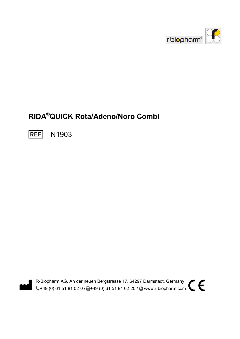

# RIDA®QUICK Rota/Adeno/Noro Combi

**REF** N1903



R-Biopharm AG, An der neuen Bergstrasse 17, 64297 Darmstadt, Germany R-Biopharm AG, An der neuen Bergstrasse 17, 64297 Darmstadt, Germany<br>C+49 (0) 61 51 81 02-0 / -+49 (0) 61 51 81 02-20 / O www.r-biopharm.com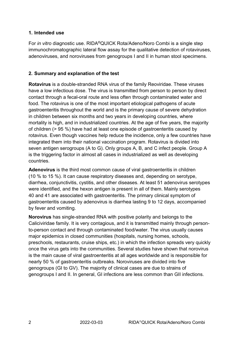#### 1. Intended use

For in vitro diagnostic use. RIDA®QUICK Rota/Adeno/Noro Combi is a single step immunochromatographic lateral flow assay for the qualitative detection of rotaviruses, adenoviruses, and noroviruses from genogroups I and II in human stool specimens.

#### 2. Summary and explanation of the test

Rotavirus is a double-stranded RNA virus of the family Reoviridae. These viruses have a low infectious dose. The virus is transmitted from person to person by direct contact through a fecal-oral route and less often through contaminated water and food. The rotavirus is one of the most important etiological pathogens of acute gastroenteritis throughout the world and is the primary cause of severe dehydration in children between six months and two years in developing countries, where mortality is high, and in industrialized countries. At the age of five years, the majority of children (> 95 %) have had at least one episode of gastroenteritis caused by rotavirus. Even though vaccines help reduce the incidence, only a few countries have integrated them into their national vaccination program. Rotavirus is divided into seven antigen serogroups (A to G). Only groups A, B, and C infect people. Group A is the triggering factor in almost all cases in industrialized as well as developing countries.

Adenovirus is the third most common cause of viral gastroenteritis in children (10 % to 15 %). It can cause respiratory diseases and, depending on serotype, diarrhea, conjunctivitis, cystitis, and other diseases. At least 51 adenovirus serotypes were identified, and the hexon antigen is present in all of them. Mainly serotypes 40 and 41 are associated with gastroenteritis. The primary clinical symptom of gastroenteritis caused by adenovirus is diarrhea lasting 9 to 12 days, accompanied by fever and vomiting.

Norovirus has single-stranded RNA with positive polarity and belongs to the Caliciviridae family. It is very contagious, and it is transmitted mainly through personto-person contact and through contaminated food/water. The virus usually causes major epidemics in closed communities (hospitals, nursing homes, schools, preschools, restaurants, cruise ships, etc.) in which the infection spreads very quickly once the virus gets into the communities. Several studies have shown that norovirus is the main cause of viral gastroenteritis at all ages worldwide and is responsible for nearly 50 % of gastroenteritis outbreaks. Noroviruses are divided into five genogroups (GI to GV). The majority of clinical cases are due to strains of genogroups I and II. In general, GI infections are less common than GII infections.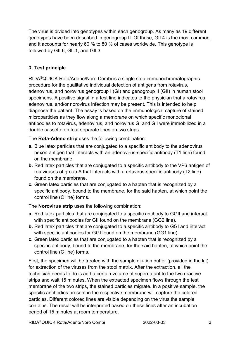The virus is divided into genotypes within each genogroup. As many as 19 different genotypes have been described in genogroup II. Of those, GII.4 is the most common, and it accounts for nearly 60 % to 80 % of cases worldwide. This genotype is followed by GII.6, GII.1, and GII.3.

# 3. Test principle

RIDA®QUICK Rota/Adeno/Noro Combi is a single step immunochromatographic procedure for the qualitative individual detection of antigens from rotavirus, adenovirus, and norovirus genogroup I (GI) and genogroup II (GII) in human stool specimens. A positive signal in a test line indicates to the physician that a rotavirus, adenovirus, and/or norovirus infection may be present. This is intended to help diagnose the patient. The assay is based on the immunological capture of stained microparticles as they flow along a membrane on which specific monoclonal antibodies to rotavirus, adenovirus, and norovirus GI and GII were immobilized in a double cassette on four separate lines on two strips.

The Rota-Adeno strip uses the following combination:

- a. Blue latex particles that are conjugated to a specific antibody to the adenovirus hexon antigen that interacts with an adenovirus-specific antibody (T1 line) found on the membrane.
- **b.** Red latex particles that are conjugated to a specific antibody to the VP6 antigen of rotaviruses of group A that interacts with a rotavirus-specific antibody (T2 line) found on the membrane.
- c. Green latex particles that are conjugated to a hapten that is recognized by a specific antibody, bound to the membrane, for the said hapten, at which point the control line (C line) forms.

The Norovirus strip uses the following combination:

- a. Red latex particles that are conjugated to a specific antibody to GGII and interact with specific antibodies for GII found on the membrane (GG2 line).
- b. Red latex particles that are conjugated to a specific antibody to GGI and interact with specific antibodies for GGI found on the membrane (GG1 line).
- c. Green latex particles that are conjugated to a hapten that is recognized by a specific antibody, bound to the membrane, for the said hapten, at which point the control line (C line) forms.

First, the specimen will be treated with the sample dilution buffer (provided in the kit) for extraction of the viruses from the stool matrix. After the extraction, all the technician needs to do is add a certain volume of supernatant to the two reactive strips and wait 15 minutes. When the extracted specimen flows through the test membrane of the two strips, the stained particles migrate. In a positive sample, the specific antibodies present in the respective membrane will capture the colored particles. Different colored lines are visible depending on the virus the sample contains. The result will be interpreted based on these lines after an incubation period of 15 minutes at room temperature.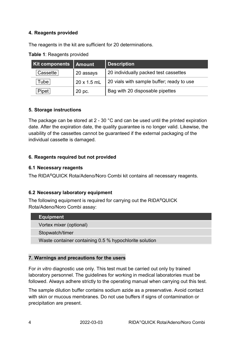## 4. Reagents provided

The reagents in the kit are sufficient for 20 determinations.

| <b>Kit components</b> | <b>Amount</b> | Description                               |
|-----------------------|---------------|-------------------------------------------|
| 'Cassette i           | 20 assays     | 20 individually packed test cassettes     |
| Tube                  | 20 x 1.5 mL   | 20 vials with sample buffer; ready to use |
| Pipet                 | 20 pc.        | Bag with 20 disposable pipettes           |

Table 1: Reagents provided

#### 5. Storage instructions

The package can be stored at 2 - 30 °C and can be used until the printed expiration date. After the expiration date, the quality guarantee is no longer valid. Likewise, the usability of the cassettes cannot be guaranteed if the external packaging of the individual cassette is damaged.

## 6. Reagents required but not provided

#### 6.1 Necessary reagents

The RIDA®QUICK Rota/Adeno/Noro Combi kit contains all necessary reagents.

## 6.2 Necessary laboratory equipment

The following equipment is required for carrying out the RIDA®QUICK Rota/Adeno/Noro Combi assay:

| <b>Equipment</b>                                       |
|--------------------------------------------------------|
| Vortex mixer (optional)                                |
| Stopwatch/timer                                        |
| Waste container containing 0.5 % hypochlorite solution |
|                                                        |

## 7. Warnings and precautions for the users

For in vitro diagnostic use only. This test must be carried out only by trained laboratory personnel. The guidelines for working in medical laboratories must be followed. Always adhere strictly to the operating manual when carrying out this test.

The sample dilution buffer contains sodium azide as a preservative. Avoid contact with skin or mucous membranes. Do not use buffers if signs of contamination or precipitation are present.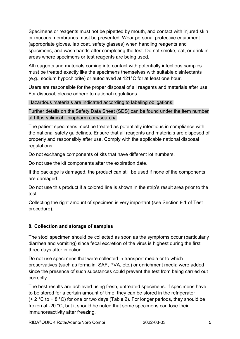Specimens or reagents must not be pipetted by mouth, and contact with injured skin or mucous membranes must be prevented. Wear personal protective equipment (appropriate gloves, lab coat, safety glasses) when handling reagents and specimens, and wash hands after completing the test. Do not smoke, eat, or drink in areas where specimens or test reagents are being used.

All reagents and materials coming into contact with potentially infectious samples must be treated exactly like the specimens themselves with suitable disinfectants (e.g., sodium hypochlorite) or autoclaved at 121°C for at least one hour.

Users are responsible for the proper disposal of all reagents and materials after use. For disposal, please adhere to national regulations.

Hazardous materials are indicated according to labeling obligations.

Further details on the Safety Data Sheet (SDS) can be found under the item number at https://clinical.r-biopharm.com/search/.

The patient specimens must be treated as potentially infectious in compliance with the national safety guidelines. Ensure that all reagents and materials are disposed of properly and responsibly after use. Comply with the applicable national disposal regulations.

Do not exchange components of kits that have different lot numbers.

Do not use the kit components after the expiration date.

If the package is damaged, the product can still be used if none of the components are damaged.

Do not use this product if a colored line is shown in the strip's result area prior to the test.

Collecting the right amount of specimen is very important (see Section 9.1 of Test procedure).

## 8. Collection and storage of samples

The stool specimen should be collected as soon as the symptoms occur (particularly diarrhea and vomiting) since fecal excretion of the virus is highest during the first three days after infection.

Do not use specimens that were collected in transport media or to which preservatives (such as formalin, SAF, PVA, etc.) or enrichment media were added since the presence of such substances could prevent the test from being carried out correctly.

The best results are achieved using fresh, untreated specimens. If specimens have to be stored for a certain amount of time, they can be stored in the refrigerator (+ 2  $\degree$ C to + 8  $\degree$ C) for one or two days (Table 2). For longer periods, they should be frozen at -20 °C, but it should be noted that some specimens can lose their immunoreactivity after freezing.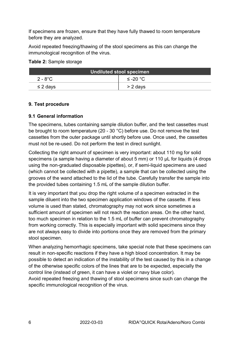If specimens are frozen, ensure that they have fully thawed to room temperature before they are analyzed.

Avoid repeated freezing/thawing of the stool specimens as this can change the immunological recognition of the virus.

#### Table 2: Sample storage

| Undiluted stool specimen |                    |
|--------------------------|--------------------|
| $2 - 8^{\circ}$ C        | ≤ -20 $^{\circ}$ C |
| $\leq$ 2 days            | $> 2$ days         |

## 9. Test procedure

# 9.1 General information

The specimens, tubes containing sample dilution buffer, and the test cassettes must be brought to room temperature (20 - 30 °C) before use. Do not remove the test cassettes from the outer package until shortly before use. Once used, the cassettes must not be re-used. Do not perform the test in direct sunlight.

Collecting the right amount of specimen is very important: about 110 mg for solid specimens (a sample having a diameter of about 5 mm) or 110 μL for liquids (4 drops using the non-graduated disposable pipettes), or, if semi-liquid specimens are used (which cannot be collected with a pipette), a sample that can be collected using the grooves of the wand attached to the lid of the tube. Carefully transfer the sample into the provided tubes containing 1.5 mL of the sample dilution buffer.

It is very important that you drop the right volume of a specimen extracted in the sample diluent into the two specimen application windows of the cassette. If less volume is used than stated, chromatography may not work since sometimes a sufficient amount of specimen will not reach the reaction areas. On the other hand, too much specimen in relation to the 1.5 mL of buffer can prevent chromatography from working correctly. This is especially important with solid specimens since they are not always easy to divide into portions once they are removed from the primary stool specimen.

When analyzing hemorrhagic specimens, take special note that these specimens can result in non-specific reactions if they have a high blood concentration. It may be possible to detect an indication of the instability of the test caused by this in a change of the otherwise specific colors of the lines that are to be expected, especially the control line (instead of green, it can have a violet or navy blue color).

Avoid repeated freezing and thawing of stool specimens since such can change the specific immunological recognition of the virus.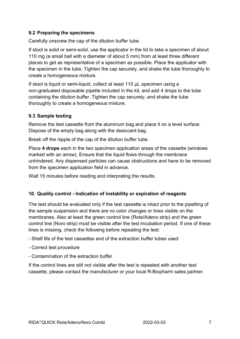### 9.2 Preparing the specimens

Carefully unscrew the cap of the dilution buffer tube.

If stool is solid or semi-solid, use the applicator in the lid to take a specimen of about 110 mg (a small ball with a diameter of about 5 mm) from at least three different places to get as representative of a specimen as possible. Place the applicator with the specimen in the tube. Tighten the cap securely, and shake the tube thoroughly to create a homogeneous mixture.

If stool is liquid or semi-liquid, collect at least 110 µL specimen using a non-graduated disposable pipette included in the kit, and add 4 drops to the tube containing the dilution buffer. Tighten the cap securely, and shake the tube thoroughly to create a homogeneous mixture.

#### 9.3 Sample testing

Remove the test cassette from the aluminum bag and place it on a level surface. Dispose of the empty bag along with the desiccant bag.

Break off the nipple of the cap of the dilution buffer tube.

Place 4 drops each in the two specimen application areas of the cassette (windows marked with an arrow). Ensure that the liquid flows through the membrane unhindered. Any dispensed particles can cause obstructions and have to be removed from the specimen application field in advance.

Wait 15 minutes before reading and interpreting the results.

#### 10. Quality control - Indication of instability or expiration of reagents

The test should be evaluated only if the test cassette is intact prior to the pipetting of the sample suspension and there are no color changes or lines visible on the membranes. Also at least the green control line (Rota/Adeno strip) and the green control line (Noro strip) must be visible after the test incubation period. If one of these lines is missing, check the following before repeating the test:

- Shelf life of the test cassettes and of the extraction buffer tubes used
- Correct test procedure
- Contamination of the extraction buffer

If the control lines are still not visible after the test is repeated with another test cassette, please contact the manufacturer or your local R-Biopharm sales partner.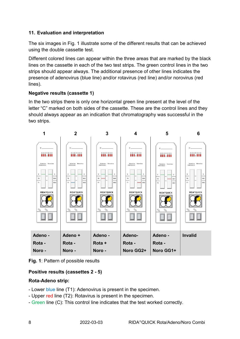# 11. Evaluation and interpretation

The six images in Fig. 1 illustrate some of the different results that can be achieved using the double cassette test.

Different colored lines can appear within the three areas that are marked by the black lines on the cassette in each of the two test strips. The green control lines in the two strips should appear always. The additional presence of other lines indicates the presence of adenovirus (blue line) and/or rotavirus (red line) and/or norovirus (red lines).

# Negative results (cassette 1)

In the two strips there is only one horizontal green line present at the level of the letter "C" marked on both sides of the cassette. These are the control lines and they should always appear as an indication that chromatography was successful in the two strips.



Fig. 1: Pattern of possible results

# Positive results (cassettes 2 - 5)

## Rota-Adeno strip:

- Lower blue line (T1): Adenovirus is present in the specimen.
- Upper red line (T2): Rotavirus is present in the specimen.
- Green line (C): This control line indicates that the test worked correctly.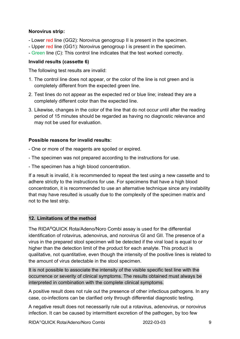### Norovirus strip:

- Lower red line (GG2): Norovirus genogroup II is present in the specimen.
- Upper red line (GG1): Norovirus genogroup I is present in the specimen.
- Green line (C): This control line indicates that the test worked correctly.

### Invalid results (cassette 6)

The following test results are invalid:

- 1. The control line does not appear, or the color of the line is not green and is completely different from the expected green line.
- 2. Test lines do not appear as the expected red or blue line; instead they are a completely different color than the expected line.
- 3. Likewise, changes in the color of the line that do not occur until after the reading period of 15 minutes should be regarded as having no diagnostic relevance and may not be used for evaluation.

#### Possible reasons for invalid results:

- One or more of the reagents are spoiled or expired.
- The specimen was not prepared according to the instructions for use.
- The specimen has a high blood concentration.

If a result is invalid, it is recommended to repeat the test using a new cassette and to adhere strictly to the instructions for use. For specimens that have a high blood concentration, it is recommended to use an alternative technique since any instability that may have resulted is usually due to the complexity of the specimen matrix and not to the test strip.

## 12. Limitations of the method

The RIDA®QUICK Rota/Adeno/Noro Combi assay is used for the differential identification of rotavirus, adenovirus, and norovirus GI and GII. The presence of a virus in the prepared stool specimen will be detected if the viral load is equal to or higher than the detection limit of the product for each analyte. This product is qualitative, not quantitative, even though the intensity of the positive lines is related to the amount of virus detectable in the stool specimen.

It is not possible to associate the intensity of the visible specific test line with the occurrence or severity of clinical symptoms. The results obtained must always be interpreted in combination with the complete clinical symptoms.

A positive result does not rule out the presence of other infectious pathogens. In any case, co-infections can be clarified only through differential diagnostic testing.

A negative result does not necessarily rule out a rotavirus, adenovirus, or norovirus infection. It can be caused by intermittent excretion of the pathogen, by too few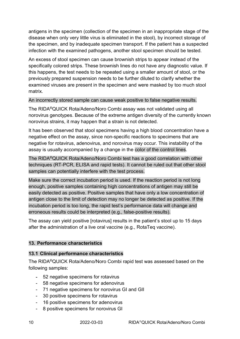antigens in the specimen (collection of the specimen in an inappropriate stage of the disease when only very little virus is eliminated in the stool), by incorrect storage of the specimen, and by inadequate specimen transport. If the patient has a suspected infection with the examined pathogens, another stool specimen should be tested.

An excess of stool specimen can cause brownish strips to appear instead of the specifically colored strips. These brownish lines do not have any diagnostic value. If this happens, the test needs to be repeated using a smaller amount of stool, or the previously prepared suspension needs to be further diluted to clarify whether the examined viruses are present in the specimen and were masked by too much stool matrix.

#### An incorrectly stored sample can cause weak positive to false negative results.

The RIDA®QUICK Rota/Adeno/Noro Combi assay was not validated using all norovirus genotypes. Because of the extreme antigen diversity of the currently known norovirus strains, it may happen that a strain is not detected.

It has been observed that stool specimens having a high blood concentration have a negative effect on the assay, since non-specific reactions to specimens that are negative for rotavirus, adenovirus, and norovirus may occur. This instability of the assay is usually accompanied by a change in the color of the control lines.

The RIDA®QUICK Rota/Adeno/Noro Combi test has a good correlation with other techniques (RT-PCR, ELISA and rapid tests). It cannot be ruled out that other stool samples can potentially interfere with the test process.

Make sure the correct incubation period is used. If the reaction period is not long enough, positive samples containing high concentrations of antigen may still be easily detected as positive. Positive samples that have only a low concentration of antigen close to the limit of detection may no longer be detected as positive. If the incubation period is too long, the rapid test's performance data will change and erroneous results could be interpreted (e.g., false-positive results).

The assay can yield positive [rotavirus] results in the patient's stool up to 15 days after the administration of a live oral vaccine (e.g., RotaTeq vaccine).

#### 13. Performance characteristics

#### 13.1 Clinical performance characteristics

The RIDA®QUICK Rota/Adeno/Noro Combi rapid test was assessed based on the following samples:

- 52 negative specimens for rotavirus
- 58 negative specimens for adenovirus
- 71 negative specimens for norovirus GI and GII
- 30 positive specimens for rotavirus
- 16 positive specimens for adenovirus
- 8 positive specimens for norovirus GI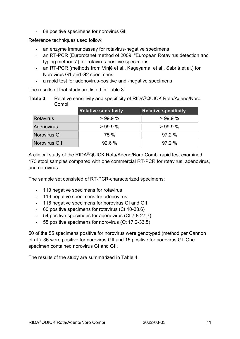- 68 positive specimens for norovirus GII

Reference techniques used follow:

- an enzyme immunoassay for rotavirus-negative specimens
- an RT-PCR (Eurorotanet method of 2009: "European Rotavirus detection and typing methods") for rotavirus-positive specimens
- an RT-PCR (methods from Vinjé et al., Kageyama, et al., Sabrià et al.) for Norovirus G1 and G2 specimens
- a rapid test for adenovirus-positive and -negative specimens

The results of that study are listed in Table 3.

Table 3: Relative sensitivity and specificity of RIDA<sup>®</sup>QUICK Rota/Adeno/Noro Combi

|                   | <b>Relative sensitivity</b> | <b>Relative specificity</b> |
|-------------------|-----------------------------|-----------------------------|
| <b>Rotavirus</b>  | >99.9%                      | >99.9%                      |
| <b>Adenovirus</b> | $>99.9\%$                   | >99.9%                      |
| Norovirus GI      | 75 %                        | 97.2%                       |
| Norovirus GII     | 92.6%                       | 97.2%                       |

A clinical study of the RIDA®QUICK Rota/Adeno/Noro Combi rapid test examined 173 stool samples compared with one commercial RT-PCR for rotavirus, adenovirus, and norovirus.

The sample set consisted of RT-PCR-characterized specimens:

- 113 negative specimens for rotavirus
- 119 negative specimens for adenovirus
- 118 negative specimens for norovirus GI and GII
- 60 positive specimens for rotavirus (Ct 10-33.6)
- 54 positive specimens for adenovirus (Ct 7.8-27.7)
- 55 positive specimens for norovirus (Ct 17.2-33.5)

50 of the 55 specimens positive for norovirus were genotyped (method per Cannon et al.). 36 were positive for norovirus GII and 15 positive for norovirus GI. One specimen contained norovirus GI and GII.

The results of the study are summarized in Table 4.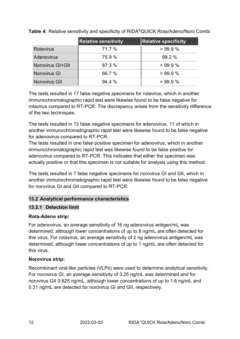|                         | <b>Relative sensitivity</b> | <b>Relative specificity</b> |
|-------------------------|-----------------------------|-----------------------------|
| <b>Rotavirus</b>        | 71.7 %                      | >99.9%                      |
| <b>Adenovirus</b>       | 75.9 %                      | 99.2%                       |
| <b>Norovirus GI+GII</b> | 87.3 %                      | >99.9%                      |
| <b>Norovirus GI</b>     | 66.7 %                      | >99.9%                      |
| Norovirus GII           | $94.4\%$                    | >99.9%                      |

Table 4: Relative sensitivity and specificity of RIDA®QUICK Rota/Adeno/Noro Combi

The tests resulted in 17 false negative specimens for rotavirus, which in another immunochromatographic rapid test were likewise found to be false negative for rotavirus compared to RT-PCR. The discrepancy arises from the sensitivity difference of the two techniques.

The tests resulted in 13 false negative specimens for adenovirus, 11 of which in another immunochromatographic rapid test were likewise found to be false negative for adenovirus compared to RT-PCR.

The tests resulted in one false positive specimen for adenovirus, which in another immunochromatographic rapid test was likewise found to be false positive for adenovirus compared to RT-PCR. This indicates that either the specimen was actually positive or that this specimen is not suitable for analysis using this method.

The tests resulted in 7 false negative specimens for norovirus GI and GII, which in another immunochromatographic rapid test were likewise found to be false negative for norovirus GI and GII compared to RT-PCR.

# 13.2 Analytical performance characteristics

## 13.2.1 Detection limit

# Rota-Adeno strip:

For adenovirus, an average sensitivity of 16 ng adenovirus antigen/mL was determined, although lower concentrations of up to 8 ng/mL are often detected for this virus. For rotavirus, an average sensitivity of 2 ng adenovirus antigen/mL was determined, although lower concentrations of up to 1 ng/mL are often detected for this virus.

# Norovirus strip:

Recombinant viral-like particles (VLPs) were used to determine analytical sensitivity. For norovirus GI, an average sensitivity of 3.25 ng/mL was determined and for norovirus GII 0.625 ng/mL, although lower concentrations of up to 1.6 ng/mL and 0.31 ng/mL are detected for norovirus GI and GII, respectively.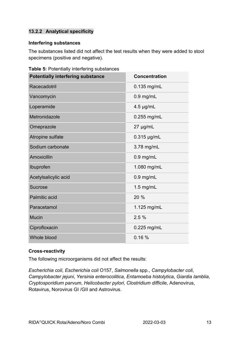# 13.2.2 Analytical specificity

#### Interfering substances

The substances listed did not affect the test results when they were added to stool specimens (positive and negative).

| <b>Potentially interfering substance</b> | <b>Concentration</b> |
|------------------------------------------|----------------------|
| Racecadotril                             | 0.135 mg/mL          |
| Vancomycin                               | $0.9$ mg/mL          |
| Loperamide                               | $4.5 \mu g/mL$       |
| Metronidazole                            | $0.255$ mg/mL        |
| Omeprazole                               | 27 µg/mL             |
| Atropine sulfate                         | $0.315$ µg/mL        |
| Sodium carbonate                         | 3.78 mg/mL           |
| Amoxicillin                              | $0.9$ mg/mL          |
| Ibuprofen                                | 1.080 mg/mL          |
| Acetylsalicylic acid                     | $0.9$ mg/mL          |
| <b>Sucrose</b>                           | $1.5$ mg/mL          |
| <b>Palmitic acid</b>                     | 20 %                 |
| Paracetamol                              | 1.125 mg/mL          |
| <b>Mucin</b>                             | 2.5%                 |
| Ciprofloxacin                            | 0.225 mg/mL          |
| Whole blood                              | 0.16%                |

Table 5: Potentially interfering substances

#### Cross-reactivity

The following microorganisms did not affect the results:

Escherichia coli, Escherichia coli O157, Salmonella spp., Campylobacter coli, Campylobacter jejuni, Yersinia enterocolitica, Entamoeba histolytica, Giardia lamblia, Cryptosporidium parvum, Helicobacter pylori, Clostridium difficile, Adenovirus, Rotavirus, Norovirus GI /GII and Astrovirus.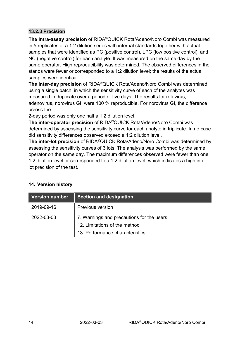### 13.2.3 Precision

The intra-assay precision of RIDA®QUICK Rota/Adeno/Noro Combi was measured in 5 replicates of a 1:2 dilution series with internal standards together with actual samples that were identified as PC (positive control), LPC (low positive control), and NC (negative control) for each analyte. It was measured on the same day by the same operator. High reproducibility was determined. The observed differences in the stands were fewer or corresponded to a 1:2 dilution level; the results of the actual samples were identical.

The inter-day precision of RIDA®QUICK Rota/Adeno/Noro Combi was determined using a single batch, in which the sensitivity curve of each of the analytes was measured in duplicate over a period of five days. The results for rotavirus, adenovirus, norovirus GII were 100 % reproducible. For norovirus GI, the difference across the

2-day period was only one half a 1:2 dilution level.

The inter-operator precision of RIDA®QUICK Rota/Adeno/Noro Combi was determined by assessing the sensitivity curve for each analyte in triplicate. In no case did sensitivity differences observed exceed a 1:2 dilution level.

The inter-lot precision of RIDA®QUICK Rota/Adeno/Noro Combi was determined by assessing the sensitivity curves of 3 lots. The analysis was performed by the same operator on the same day. The maximum differences observed were fewer than one 1:2 dilution level or corresponded to a 1:2 dilution level, which indicates a high interlot precision of the test.

| <b>Version number</b> | <b>Section and designation</b>                                                                                |
|-----------------------|---------------------------------------------------------------------------------------------------------------|
| 2019-09-16            | <b>Previous version</b>                                                                                       |
| 2022-03-03            | 7. Warnings and precautions for the users<br>12. Limitations of the method<br>13. Performance characteristics |

## 14. Version history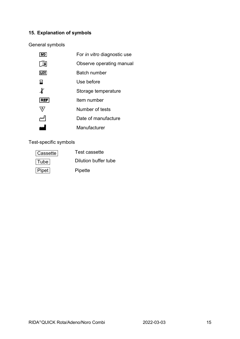# 15. Explanation of symbols

General symbols

|            | For in vitro diagnostic use |
|------------|-----------------------------|
|            | Observe operating manual    |
| LOT        | Batch number                |
| 묨          | Use before                  |
| X          | Storage temperature         |
| <b>REF</b> | Item number                 |
| Σ,         | Number of tests             |
|            | Date of manufacture         |
|            | Manufacturer                |

Test-specific symbols

| Cassette | Test cassette        |
|----------|----------------------|
| Tube     | Dilution buffer tube |
| Pipet    | Pipette              |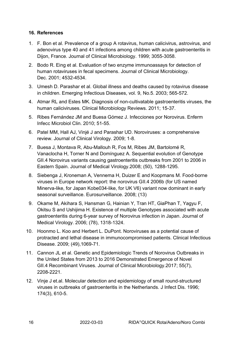#### 16. References

- 1. F. Bon et al. Prevalence of a group A rotavirus, human calicivirus, astrovirus, and adenovirus type 40 and 41 infections among children with acute gastroenteritis in Dijon, France. Journal of Clinical Microbiology. 1999; 3055-3058.
- 2. Bodo R. Eing et al. Evaluation of two enzyme immunoassays for detection of human rotaviruses in fecal specimens. Journal of Clinical Microbiology. Dec. 2001; 4532-4534.
- 3. Umesh D. Parashar et al. Global illness and deaths caused by rotavirus disease in children. Emerging Infectious Diseases, vol. 9, No.5. 2003; 565-572.
- 4. Atmar RL and Estes MK. Diagnosis of non-cultivatable gastroenteritis viruses, the human caliciviruses. Clinical Microbiology Reviews. 2011; 15-37.
- 5. Ribes Fernández JM and Buesa Gómez J. Infecciones por Norovirus. Enferm Infecc Microbiol Clin. 2010; 51-55.
- 6. Patel MM, Hall AJ, Vinjé J and Parashar UD. Noroviruses: a comprehensive review. Journal of Clinical Virology. 2009; 1-8.
- 7. Buesa J, Montava R, Abu-Mallouh R, Fos M, Ribes JM, Bartolomé R, Vanaclocha H, Torner N and Domínguez A. Sequential evolution of Genotype GII.4 Norovirus variants causing gastroenteritis outbreaks from 2001 to 2006 in Eastern Spain. Journal of Medical Virology.2008; (50), 1288-1295.
- 8. Siebenga J, Kroneman A, Vennema H, Duizer E and Koopmans M. Food-borne viruses in Europe network report: the norovirus GII.4 2006b (for US named Minerva-like, for Japan Kobe034-like, for UK V6) variant now dominant in early seasonal surveillance. Eurosurveillance. 2008; (13)
- 9. Okame M, Akihara S, Hansman G, Hainian Y, Tran HT, GiaPhan T, Yagyu F, Okitsu S and Ushijima H. Existence of multiple Genotypes associated with acute gastroenteritis during 6-year survey of Norovirus infection in Japan. Journal of Medical Virology. 2006; (78), 1318-1324.
- 10. Hoonmo L. Koo and Herbert L. DuPont. Noroviruses as a potential cause of protracted and lethal disease in immunocompromised patients. Clinical Infectious Disease. 2009; (49),1069-71.
- 11. Cannon JL et al. Genetic and Epidemiologic Trends of Norovirus Outbreaks in the United States from 2013 to 2016 Demonstrated Emergence of Novel GII.4 Recombinant Viruses. Journal of Clinical Microbiology.2017; 55(7), 2208-2221.
- 12. Vinje J et.al. Molecular detection and epidemiology of small round-structured viruses in outbreaks of gastroenteritis in the Netherlands. J Infect Dis. 1996; 174(3), 610-5.